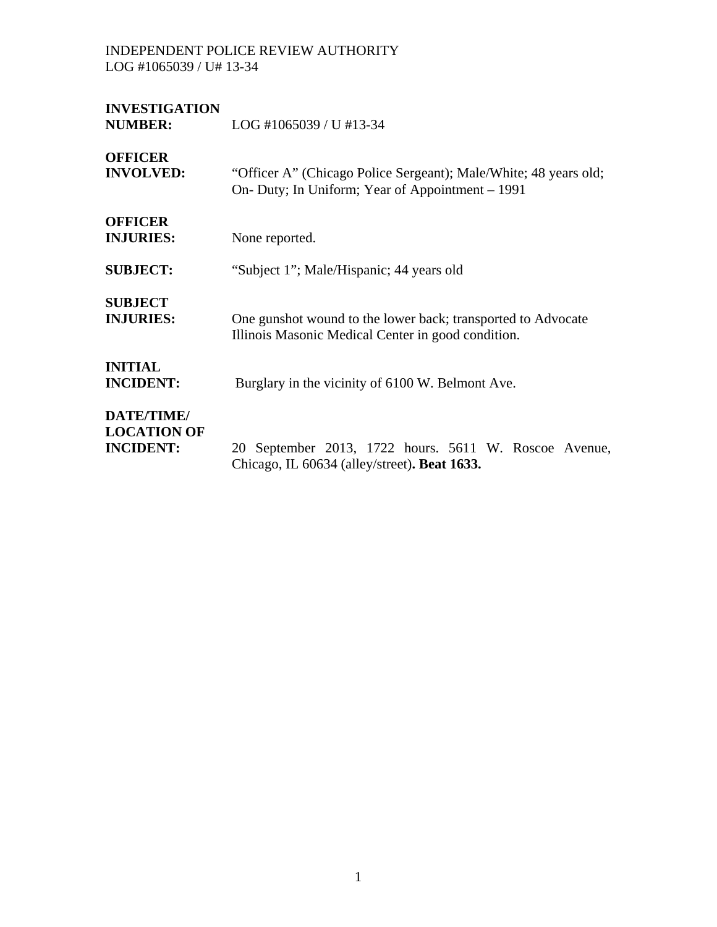# **INVESTIGATION**

**NUMBER:** LOG #1065039 / U #13-34 **OFFICER INVOLVED:** "Officer A" (Chicago Police Sergeant); Male/White; 48 years old; On- Duty; In Uniform; Year of Appointment – 1991 **OFFICER INJURIES:** None reported. **SUBJECT:** "Subject 1"; Male/Hispanic; 44 years old **SUBJECT INJURIES:** One gunshot wound to the lower back; transported to Advocate Illinois Masonic Medical Center in good condition. **INITIAL INCIDENT:** Burglary in the vicinity of 6100 W. Belmont Ave. **DATE/TIME/ LOCATION OF INCIDENT:** 20 September 2013, 1722 hours. 5611 W. Roscoe Avenue, Chicago, IL 60634 (alley/street)**. Beat 1633.**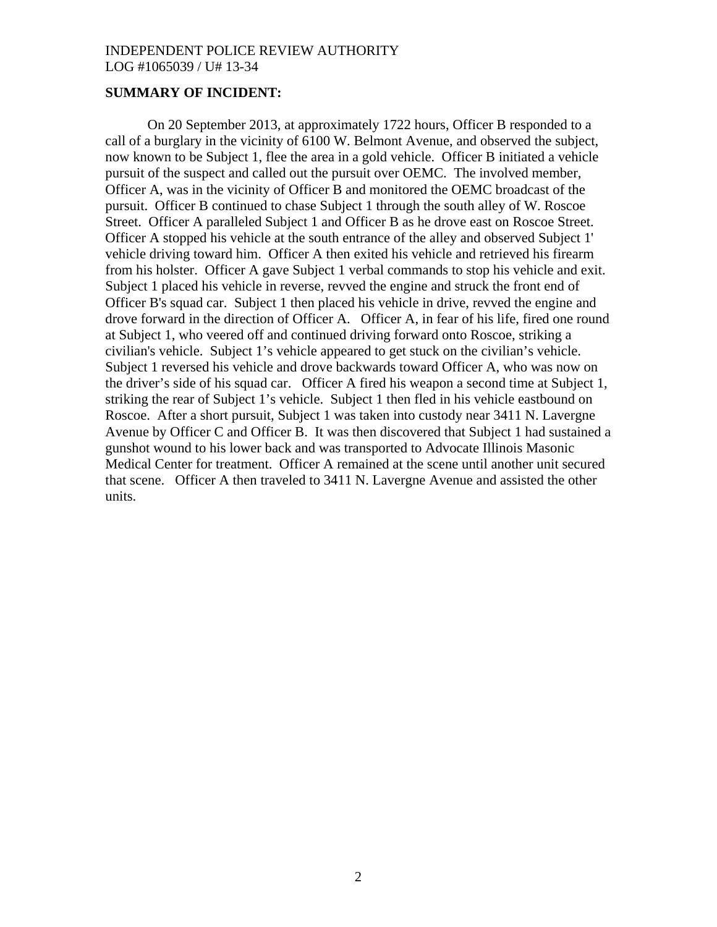### **SUMMARY OF INCIDENT:**

On 20 September 2013, at approximately 1722 hours, Officer B responded to a call of a burglary in the vicinity of 6100 W. Belmont Avenue, and observed the subject, now known to be Subject 1, flee the area in a gold vehicle. Officer B initiated a vehicle pursuit of the suspect and called out the pursuit over OEMC. The involved member, Officer A, was in the vicinity of Officer B and monitored the OEMC broadcast of the pursuit. Officer B continued to chase Subject 1 through the south alley of W. Roscoe Street. Officer A paralleled Subject 1 and Officer B as he drove east on Roscoe Street. Officer A stopped his vehicle at the south entrance of the alley and observed Subject 1' vehicle driving toward him. Officer A then exited his vehicle and retrieved his firearm from his holster. Officer A gave Subject 1 verbal commands to stop his vehicle and exit. Subject 1 placed his vehicle in reverse, revved the engine and struck the front end of Officer B's squad car. Subject 1 then placed his vehicle in drive, revved the engine and drove forward in the direction of Officer A. Officer A, in fear of his life, fired one round at Subject 1, who veered off and continued driving forward onto Roscoe, striking a civilian's vehicle. Subject 1's vehicle appeared to get stuck on the civilian's vehicle. Subject 1 reversed his vehicle and drove backwards toward Officer A, who was now on the driver's side of his squad car. Officer A fired his weapon a second time at Subject 1, striking the rear of Subject 1's vehicle. Subject 1 then fled in his vehicle eastbound on Roscoe. After a short pursuit, Subject 1 was taken into custody near 3411 N. Lavergne Avenue by Officer C and Officer B. It was then discovered that Subject 1 had sustained a gunshot wound to his lower back and was transported to Advocate Illinois Masonic Medical Center for treatment. Officer A remained at the scene until another unit secured that scene. Officer A then traveled to 3411 N. Lavergne Avenue and assisted the other units.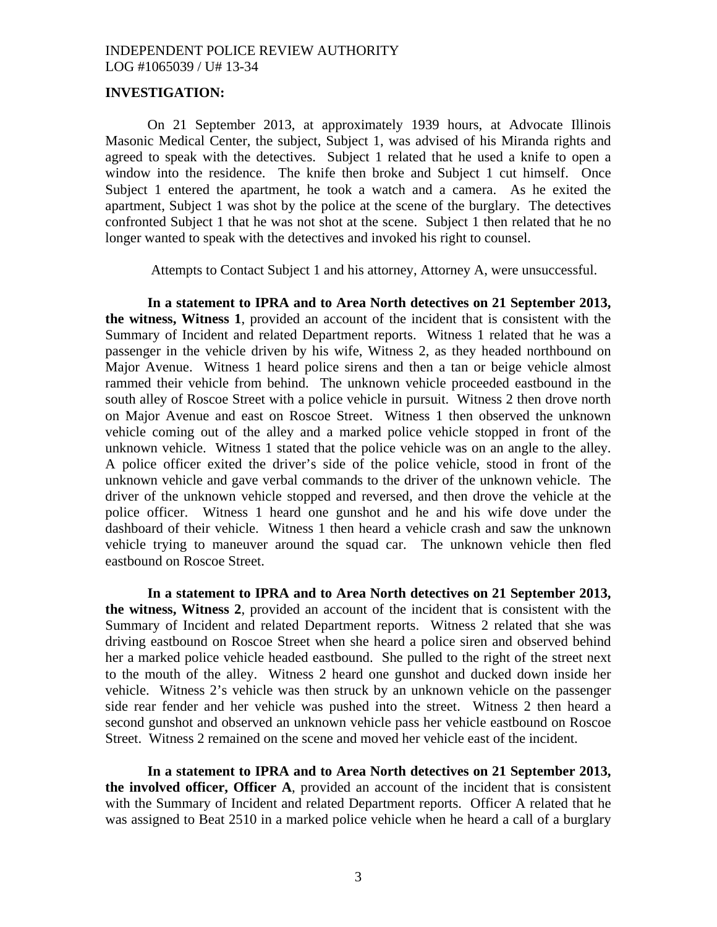#### **INVESTIGATION:**

On 21 September 2013, at approximately 1939 hours, at Advocate Illinois Masonic Medical Center, the subject, Subject 1, was advised of his Miranda rights and agreed to speak with the detectives. Subject 1 related that he used a knife to open a window into the residence. The knife then broke and Subject 1 cut himself. Once Subject 1 entered the apartment, he took a watch and a camera. As he exited the apartment, Subject 1 was shot by the police at the scene of the burglary. The detectives confronted Subject 1 that he was not shot at the scene. Subject 1 then related that he no longer wanted to speak with the detectives and invoked his right to counsel.

Attempts to Contact Subject 1 and his attorney, Attorney A, were unsuccessful.

**In a statement to IPRA and to Area North detectives on 21 September 2013, the witness, Witness 1**, provided an account of the incident that is consistent with the Summary of Incident and related Department reports. Witness 1 related that he was a passenger in the vehicle driven by his wife, Witness 2, as they headed northbound on Major Avenue. Witness 1 heard police sirens and then a tan or beige vehicle almost rammed their vehicle from behind. The unknown vehicle proceeded eastbound in the south alley of Roscoe Street with a police vehicle in pursuit. Witness 2 then drove north on Major Avenue and east on Roscoe Street. Witness 1 then observed the unknown vehicle coming out of the alley and a marked police vehicle stopped in front of the unknown vehicle. Witness 1 stated that the police vehicle was on an angle to the alley. A police officer exited the driver's side of the police vehicle, stood in front of the unknown vehicle and gave verbal commands to the driver of the unknown vehicle. The driver of the unknown vehicle stopped and reversed, and then drove the vehicle at the police officer. Witness 1 heard one gunshot and he and his wife dove under the dashboard of their vehicle. Witness 1 then heard a vehicle crash and saw the unknown vehicle trying to maneuver around the squad car. The unknown vehicle then fled eastbound on Roscoe Street.

**In a statement to IPRA and to Area North detectives on 21 September 2013, the witness, Witness 2**, provided an account of the incident that is consistent with the Summary of Incident and related Department reports. Witness 2 related that she was driving eastbound on Roscoe Street when she heard a police siren and observed behind her a marked police vehicle headed eastbound. She pulled to the right of the street next to the mouth of the alley. Witness 2 heard one gunshot and ducked down inside her vehicle. Witness 2's vehicle was then struck by an unknown vehicle on the passenger side rear fender and her vehicle was pushed into the street. Witness 2 then heard a second gunshot and observed an unknown vehicle pass her vehicle eastbound on Roscoe Street. Witness 2 remained on the scene and moved her vehicle east of the incident.

**In a statement to IPRA and to Area North detectives on 21 September 2013, the involved officer, Officer A**, provided an account of the incident that is consistent with the Summary of Incident and related Department reports. Officer A related that he was assigned to Beat 2510 in a marked police vehicle when he heard a call of a burglary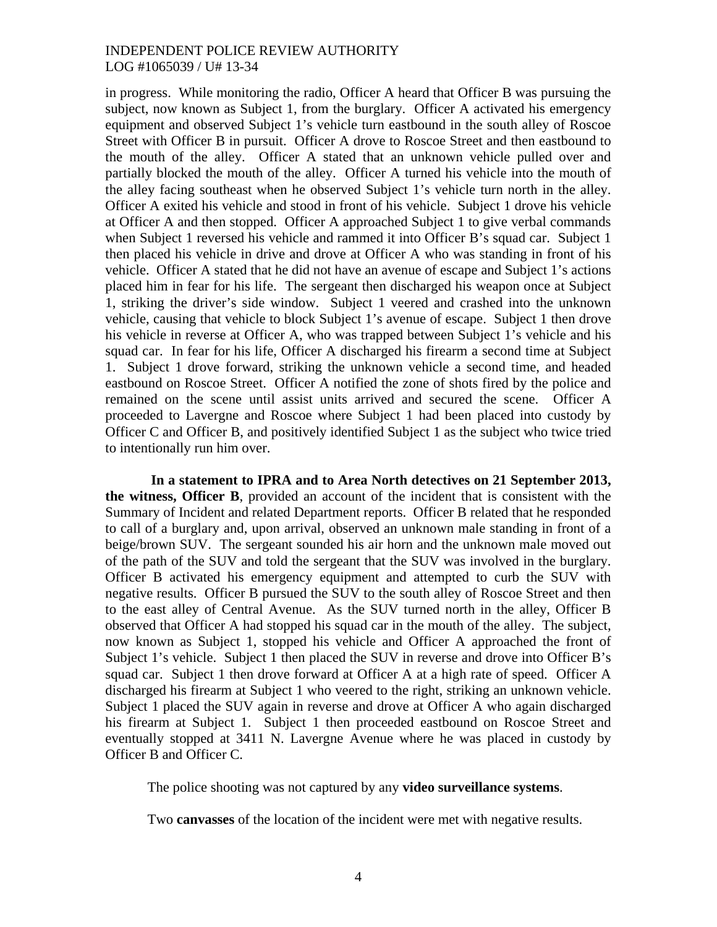in progress. While monitoring the radio, Officer A heard that Officer B was pursuing the subject, now known as Subject 1, from the burglary. Officer A activated his emergency equipment and observed Subject 1's vehicle turn eastbound in the south alley of Roscoe Street with Officer B in pursuit. Officer A drove to Roscoe Street and then eastbound to the mouth of the alley. Officer A stated that an unknown vehicle pulled over and partially blocked the mouth of the alley. Officer A turned his vehicle into the mouth of the alley facing southeast when he observed Subject 1's vehicle turn north in the alley. Officer A exited his vehicle and stood in front of his vehicle. Subject 1 drove his vehicle at Officer A and then stopped. Officer A approached Subject 1 to give verbal commands when Subject 1 reversed his vehicle and rammed it into Officer B's squad car. Subject 1 then placed his vehicle in drive and drove at Officer A who was standing in front of his vehicle. Officer A stated that he did not have an avenue of escape and Subject 1's actions placed him in fear for his life. The sergeant then discharged his weapon once at Subject 1, striking the driver's side window. Subject 1 veered and crashed into the unknown vehicle, causing that vehicle to block Subject 1's avenue of escape. Subject 1 then drove his vehicle in reverse at Officer A, who was trapped between Subject 1's vehicle and his squad car. In fear for his life, Officer A discharged his firearm a second time at Subject 1. Subject 1 drove forward, striking the unknown vehicle a second time, and headed eastbound on Roscoe Street. Officer A notified the zone of shots fired by the police and remained on the scene until assist units arrived and secured the scene. Officer A proceeded to Lavergne and Roscoe where Subject 1 had been placed into custody by Officer C and Officer B, and positively identified Subject 1 as the subject who twice tried to intentionally run him over.

**In a statement to IPRA and to Area North detectives on 21 September 2013, the witness, Officer B**, provided an account of the incident that is consistent with the Summary of Incident and related Department reports. Officer B related that he responded to call of a burglary and, upon arrival, observed an unknown male standing in front of a beige/brown SUV. The sergeant sounded his air horn and the unknown male moved out of the path of the SUV and told the sergeant that the SUV was involved in the burglary. Officer B activated his emergency equipment and attempted to curb the SUV with negative results. Officer B pursued the SUV to the south alley of Roscoe Street and then to the east alley of Central Avenue. As the SUV turned north in the alley, Officer B observed that Officer A had stopped his squad car in the mouth of the alley. The subject, now known as Subject 1, stopped his vehicle and Officer A approached the front of Subject 1's vehicle. Subject 1 then placed the SUV in reverse and drove into Officer B's squad car. Subject 1 then drove forward at Officer A at a high rate of speed. Officer A discharged his firearm at Subject 1 who veered to the right, striking an unknown vehicle. Subject 1 placed the SUV again in reverse and drove at Officer A who again discharged his firearm at Subject 1. Subject 1 then proceeded eastbound on Roscoe Street and eventually stopped at 3411 N. Lavergne Avenue where he was placed in custody by Officer B and Officer C.

The police shooting was not captured by any **video surveillance systems**.

Two **canvasses** of the location of the incident were met with negative results.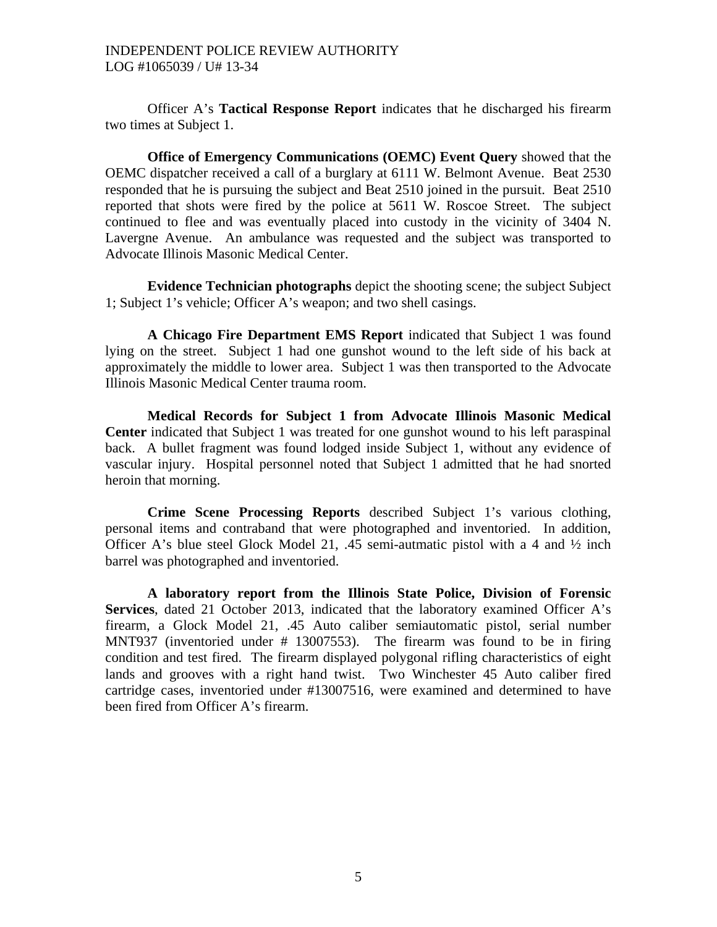Officer A's **Tactical Response Report** indicates that he discharged his firearm two times at Subject 1.

**Office of Emergency Communications (OEMC) Event Query** showed that the OEMC dispatcher received a call of a burglary at 6111 W. Belmont Avenue. Beat 2530 responded that he is pursuing the subject and Beat 2510 joined in the pursuit. Beat 2510 reported that shots were fired by the police at 5611 W. Roscoe Street. The subject continued to flee and was eventually placed into custody in the vicinity of 3404 N. Lavergne Avenue. An ambulance was requested and the subject was transported to Advocate Illinois Masonic Medical Center.

**Evidence Technician photographs** depict the shooting scene; the subject Subject 1; Subject 1's vehicle; Officer A's weapon; and two shell casings.

**A Chicago Fire Department EMS Report** indicated that Subject 1 was found lying on the street. Subject 1 had one gunshot wound to the left side of his back at approximately the middle to lower area. Subject 1 was then transported to the Advocate Illinois Masonic Medical Center trauma room.

**Medical Records for Subject 1 from Advocate Illinois Masonic Medical Center** indicated that Subject 1 was treated for one gunshot wound to his left paraspinal back. A bullet fragment was found lodged inside Subject 1, without any evidence of vascular injury. Hospital personnel noted that Subject 1 admitted that he had snorted heroin that morning.

**Crime Scene Processing Reports** described Subject 1's various clothing, personal items and contraband that were photographed and inventoried. In addition, Officer A's blue steel Glock Model 21, .45 semi-autmatic pistol with a 4 and  $\frac{1}{2}$  inch barrel was photographed and inventoried.

**A laboratory report from the Illinois State Police, Division of Forensic Services**, dated 21 October 2013, indicated that the laboratory examined Officer A's firearm, a Glock Model 21, .45 Auto caliber semiautomatic pistol, serial number MNT937 (inventoried under # 13007553). The firearm was found to be in firing condition and test fired. The firearm displayed polygonal rifling characteristics of eight lands and grooves with a right hand twist. Two Winchester 45 Auto caliber fired cartridge cases, inventoried under #13007516, were examined and determined to have been fired from Officer A's firearm.